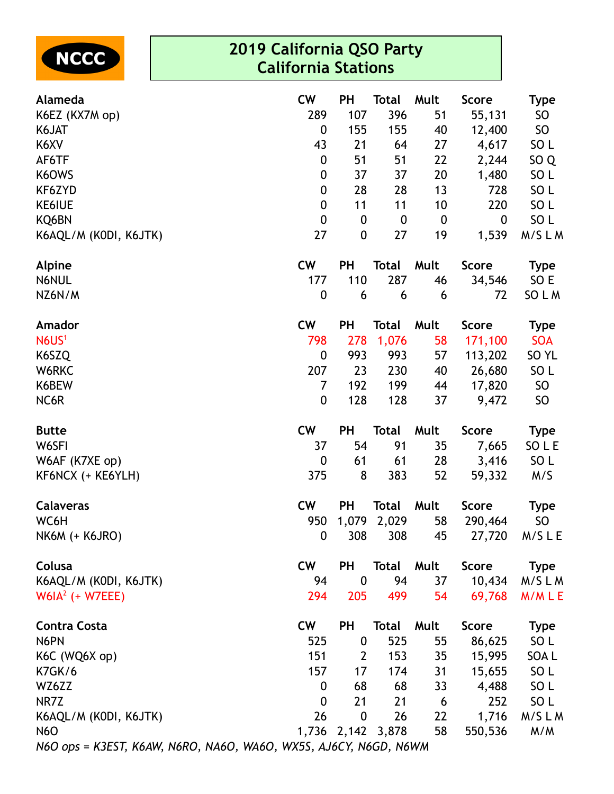

| 289<br>107<br>396<br><b>SO</b><br>K6EZ (KX7M op)<br>51<br>55,131<br>K6JAT<br>$\mathbf 0$<br>155<br>155<br><b>SO</b><br>40<br>12,400<br>SO <sub>L</sub><br>K6XV<br>43<br>21<br>27<br>4,617<br>64<br>SO <sub>Q</sub><br>AF6TF<br>$\boldsymbol{0}$<br>51<br>51<br>22<br>2,244<br>K6OWS<br>37<br>37<br>20<br>1,480<br>SO <sub>L</sub><br>$\boldsymbol{0}$<br>SO <sub>L</sub><br>$\boldsymbol{0}$<br>28<br>28<br>13<br>728<br>KF6ZYD<br>220<br>SO <sub>L</sub><br><b>KE6IUE</b><br>$\boldsymbol{0}$<br>11<br>11<br>10<br>$\mathbf 0$<br>SO <sub>L</sub><br>KQ6BN<br>$\boldsymbol{0}$<br>0<br>$\boldsymbol{0}$<br>$\boldsymbol{0}$<br>27<br>27<br>19<br>1,539<br>M/SLM<br>$\boldsymbol{0}$<br>K6AQL/M (KODI, K6JTK)<br><b>CW</b><br>Alpine<br><b>PH</b><br>Mult<br><b>Score</b><br><b>Total</b><br><b>Type</b><br>287<br>SO E<br>N6NUL<br>177<br>110<br>46<br>34,546<br>NZ6N/M<br>$\boldsymbol{0}$<br>6<br>6<br>72<br>SO L M<br>6<br><b>CW</b><br><b>PH</b><br><b>Total</b><br>Mult<br>Score<br>Amador<br><b>Type</b><br>N6US <sup>1</sup><br>58<br>798<br>278<br>1,076<br>171,100<br><b>SOA</b><br>K6SZQ<br>993<br>57<br>$\boldsymbol{0}$<br>993<br>SO <sub>YL</sub><br>113,202<br>207<br>SO <sub>L</sub><br>W6RKC<br>23<br>230<br>40<br>26,680<br>199<br>SO<br>K6BEW<br>7<br>192<br>44<br>17,820<br>128<br>37<br>9,472<br>NC6R<br>$\boldsymbol{0}$<br>128<br><b>SO</b><br><b>CW</b><br><b>PH</b><br><b>Total</b><br>Mult<br><b>Score</b><br><b>Butte</b><br><b>Type</b><br>W6SFI<br>91<br>37<br>54<br>35<br>SO L E<br>7,665<br>SO <sub>L</sub><br>W6AF (K7XE op)<br>0<br>61<br>61<br>28<br>3,416<br>383<br>52<br>8<br>59,332<br>KF6NCX (+ KE6YLH)<br>375<br>M/S<br>PH<br><b>CW</b><br>Mult<br><b>Calaveras</b><br><b>Total</b><br><b>Score</b><br><b>Type</b><br>WC6H<br>1,079<br>2,029<br>58<br>950<br>290,464<br><b>SO</b><br>308<br>$\mathbf 0$<br>308<br>45<br>27,720<br>M/S L E<br><b>NK6M (+ K6JRO)</b><br><b>Score</b><br>Colusa<br><b>CW</b><br><b>PH</b><br>Total<br>Mult<br>Type<br>K6AQL/M (KODI, K6JTK)<br>94<br>94<br>37<br>10,434<br>M/SLM<br>$\boldsymbol{0}$<br>$W6IA2$ (+ W7EEE)<br>294<br>205<br>499<br>54<br>69,768<br>M/MLE<br><b>Contra Costa</b><br><b>CW</b><br><b>PH</b><br>Mult<br><b>Score</b><br>Total<br><b>Type</b><br>N6PN<br>525<br>525<br>SO <sub>L</sub><br>55<br>86,625<br>$\boldsymbol{0}$<br>K6C (WQ6X op)<br>151<br>153<br>35<br>15,995<br>SOA L<br>$\mathbf{2}$<br>15,655<br>SO <sub>L</sub><br><b>K7GK/6</b><br>157<br>31<br>17<br>174<br>SO <sub>L</sub><br>WZ6ZZ<br>68<br>68<br>33<br>$\mathbf 0$<br>4,488<br>252<br>SO <sub>L</sub><br>NR7Z<br>$\mathbf 0$<br>21<br>21<br>6<br>K6AQL/M (KODI, K6JTK)<br>26<br>$\boldsymbol{0}$<br>26<br>1,716<br>M/SLM<br>22<br><b>N6O</b><br>1,736<br>2,142 3,878<br>58<br>550,536<br>M/M<br>$NLO$ one - $V2ECT$ $VLM$ $NLOO$ $NACO$ $W/ACO$ $MVFC$ $A LCV$ $NLCO$ $NICON$ | Alameda | <b>CW</b> | PH | <b>Total</b> | Mult | <b>Score</b> | <b>Type</b> |
|---------------------------------------------------------------------------------------------------------------------------------------------------------------------------------------------------------------------------------------------------------------------------------------------------------------------------------------------------------------------------------------------------------------------------------------------------------------------------------------------------------------------------------------------------------------------------------------------------------------------------------------------------------------------------------------------------------------------------------------------------------------------------------------------------------------------------------------------------------------------------------------------------------------------------------------------------------------------------------------------------------------------------------------------------------------------------------------------------------------------------------------------------------------------------------------------------------------------------------------------------------------------------------------------------------------------------------------------------------------------------------------------------------------------------------------------------------------------------------------------------------------------------------------------------------------------------------------------------------------------------------------------------------------------------------------------------------------------------------------------------------------------------------------------------------------------------------------------------------------------------------------------------------------------------------------------------------------------------------------------------------------------------------------------------------------------------------------------------------------------------------------------------------------------------------------------------------------------------------------------------------------------------------------------------------------------------------------------------------------------------------------------------------------------------------------------------------------------------------------------------------------------------------------------------------------------------------------------------------------------------------------------------------------------------------------------------------------------------------------------------------------------------------------------------------------------------------------------------|---------|-----------|----|--------------|------|--------------|-------------|
|                                                                                                                                                                                                                                                                                                                                                                                                                                                                                                                                                                                                                                                                                                                                                                                                                                                                                                                                                                                                                                                                                                                                                                                                                                                                                                                                                                                                                                                                                                                                                                                                                                                                                                                                                                                                                                                                                                                                                                                                                                                                                                                                                                                                                                                                                                                                                                                                                                                                                                                                                                                                                                                                                                                                                                                                                                                   |         |           |    |              |      |              |             |
|                                                                                                                                                                                                                                                                                                                                                                                                                                                                                                                                                                                                                                                                                                                                                                                                                                                                                                                                                                                                                                                                                                                                                                                                                                                                                                                                                                                                                                                                                                                                                                                                                                                                                                                                                                                                                                                                                                                                                                                                                                                                                                                                                                                                                                                                                                                                                                                                                                                                                                                                                                                                                                                                                                                                                                                                                                                   |         |           |    |              |      |              |             |
|                                                                                                                                                                                                                                                                                                                                                                                                                                                                                                                                                                                                                                                                                                                                                                                                                                                                                                                                                                                                                                                                                                                                                                                                                                                                                                                                                                                                                                                                                                                                                                                                                                                                                                                                                                                                                                                                                                                                                                                                                                                                                                                                                                                                                                                                                                                                                                                                                                                                                                                                                                                                                                                                                                                                                                                                                                                   |         |           |    |              |      |              |             |
|                                                                                                                                                                                                                                                                                                                                                                                                                                                                                                                                                                                                                                                                                                                                                                                                                                                                                                                                                                                                                                                                                                                                                                                                                                                                                                                                                                                                                                                                                                                                                                                                                                                                                                                                                                                                                                                                                                                                                                                                                                                                                                                                                                                                                                                                                                                                                                                                                                                                                                                                                                                                                                                                                                                                                                                                                                                   |         |           |    |              |      |              |             |
|                                                                                                                                                                                                                                                                                                                                                                                                                                                                                                                                                                                                                                                                                                                                                                                                                                                                                                                                                                                                                                                                                                                                                                                                                                                                                                                                                                                                                                                                                                                                                                                                                                                                                                                                                                                                                                                                                                                                                                                                                                                                                                                                                                                                                                                                                                                                                                                                                                                                                                                                                                                                                                                                                                                                                                                                                                                   |         |           |    |              |      |              |             |
|                                                                                                                                                                                                                                                                                                                                                                                                                                                                                                                                                                                                                                                                                                                                                                                                                                                                                                                                                                                                                                                                                                                                                                                                                                                                                                                                                                                                                                                                                                                                                                                                                                                                                                                                                                                                                                                                                                                                                                                                                                                                                                                                                                                                                                                                                                                                                                                                                                                                                                                                                                                                                                                                                                                                                                                                                                                   |         |           |    |              |      |              |             |
|                                                                                                                                                                                                                                                                                                                                                                                                                                                                                                                                                                                                                                                                                                                                                                                                                                                                                                                                                                                                                                                                                                                                                                                                                                                                                                                                                                                                                                                                                                                                                                                                                                                                                                                                                                                                                                                                                                                                                                                                                                                                                                                                                                                                                                                                                                                                                                                                                                                                                                                                                                                                                                                                                                                                                                                                                                                   |         |           |    |              |      |              |             |
|                                                                                                                                                                                                                                                                                                                                                                                                                                                                                                                                                                                                                                                                                                                                                                                                                                                                                                                                                                                                                                                                                                                                                                                                                                                                                                                                                                                                                                                                                                                                                                                                                                                                                                                                                                                                                                                                                                                                                                                                                                                                                                                                                                                                                                                                                                                                                                                                                                                                                                                                                                                                                                                                                                                                                                                                                                                   |         |           |    |              |      |              |             |
|                                                                                                                                                                                                                                                                                                                                                                                                                                                                                                                                                                                                                                                                                                                                                                                                                                                                                                                                                                                                                                                                                                                                                                                                                                                                                                                                                                                                                                                                                                                                                                                                                                                                                                                                                                                                                                                                                                                                                                                                                                                                                                                                                                                                                                                                                                                                                                                                                                                                                                                                                                                                                                                                                                                                                                                                                                                   |         |           |    |              |      |              |             |
|                                                                                                                                                                                                                                                                                                                                                                                                                                                                                                                                                                                                                                                                                                                                                                                                                                                                                                                                                                                                                                                                                                                                                                                                                                                                                                                                                                                                                                                                                                                                                                                                                                                                                                                                                                                                                                                                                                                                                                                                                                                                                                                                                                                                                                                                                                                                                                                                                                                                                                                                                                                                                                                                                                                                                                                                                                                   |         |           |    |              |      |              |             |
|                                                                                                                                                                                                                                                                                                                                                                                                                                                                                                                                                                                                                                                                                                                                                                                                                                                                                                                                                                                                                                                                                                                                                                                                                                                                                                                                                                                                                                                                                                                                                                                                                                                                                                                                                                                                                                                                                                                                                                                                                                                                                                                                                                                                                                                                                                                                                                                                                                                                                                                                                                                                                                                                                                                                                                                                                                                   |         |           |    |              |      |              |             |
|                                                                                                                                                                                                                                                                                                                                                                                                                                                                                                                                                                                                                                                                                                                                                                                                                                                                                                                                                                                                                                                                                                                                                                                                                                                                                                                                                                                                                                                                                                                                                                                                                                                                                                                                                                                                                                                                                                                                                                                                                                                                                                                                                                                                                                                                                                                                                                                                                                                                                                                                                                                                                                                                                                                                                                                                                                                   |         |           |    |              |      |              |             |
|                                                                                                                                                                                                                                                                                                                                                                                                                                                                                                                                                                                                                                                                                                                                                                                                                                                                                                                                                                                                                                                                                                                                                                                                                                                                                                                                                                                                                                                                                                                                                                                                                                                                                                                                                                                                                                                                                                                                                                                                                                                                                                                                                                                                                                                                                                                                                                                                                                                                                                                                                                                                                                                                                                                                                                                                                                                   |         |           |    |              |      |              |             |
|                                                                                                                                                                                                                                                                                                                                                                                                                                                                                                                                                                                                                                                                                                                                                                                                                                                                                                                                                                                                                                                                                                                                                                                                                                                                                                                                                                                                                                                                                                                                                                                                                                                                                                                                                                                                                                                                                                                                                                                                                                                                                                                                                                                                                                                                                                                                                                                                                                                                                                                                                                                                                                                                                                                                                                                                                                                   |         |           |    |              |      |              |             |
|                                                                                                                                                                                                                                                                                                                                                                                                                                                                                                                                                                                                                                                                                                                                                                                                                                                                                                                                                                                                                                                                                                                                                                                                                                                                                                                                                                                                                                                                                                                                                                                                                                                                                                                                                                                                                                                                                                                                                                                                                                                                                                                                                                                                                                                                                                                                                                                                                                                                                                                                                                                                                                                                                                                                                                                                                                                   |         |           |    |              |      |              |             |
|                                                                                                                                                                                                                                                                                                                                                                                                                                                                                                                                                                                                                                                                                                                                                                                                                                                                                                                                                                                                                                                                                                                                                                                                                                                                                                                                                                                                                                                                                                                                                                                                                                                                                                                                                                                                                                                                                                                                                                                                                                                                                                                                                                                                                                                                                                                                                                                                                                                                                                                                                                                                                                                                                                                                                                                                                                                   |         |           |    |              |      |              |             |
|                                                                                                                                                                                                                                                                                                                                                                                                                                                                                                                                                                                                                                                                                                                                                                                                                                                                                                                                                                                                                                                                                                                                                                                                                                                                                                                                                                                                                                                                                                                                                                                                                                                                                                                                                                                                                                                                                                                                                                                                                                                                                                                                                                                                                                                                                                                                                                                                                                                                                                                                                                                                                                                                                                                                                                                                                                                   |         |           |    |              |      |              |             |
|                                                                                                                                                                                                                                                                                                                                                                                                                                                                                                                                                                                                                                                                                                                                                                                                                                                                                                                                                                                                                                                                                                                                                                                                                                                                                                                                                                                                                                                                                                                                                                                                                                                                                                                                                                                                                                                                                                                                                                                                                                                                                                                                                                                                                                                                                                                                                                                                                                                                                                                                                                                                                                                                                                                                                                                                                                                   |         |           |    |              |      |              |             |
|                                                                                                                                                                                                                                                                                                                                                                                                                                                                                                                                                                                                                                                                                                                                                                                                                                                                                                                                                                                                                                                                                                                                                                                                                                                                                                                                                                                                                                                                                                                                                                                                                                                                                                                                                                                                                                                                                                                                                                                                                                                                                                                                                                                                                                                                                                                                                                                                                                                                                                                                                                                                                                                                                                                                                                                                                                                   |         |           |    |              |      |              |             |
|                                                                                                                                                                                                                                                                                                                                                                                                                                                                                                                                                                                                                                                                                                                                                                                                                                                                                                                                                                                                                                                                                                                                                                                                                                                                                                                                                                                                                                                                                                                                                                                                                                                                                                                                                                                                                                                                                                                                                                                                                                                                                                                                                                                                                                                                                                                                                                                                                                                                                                                                                                                                                                                                                                                                                                                                                                                   |         |           |    |              |      |              |             |
|                                                                                                                                                                                                                                                                                                                                                                                                                                                                                                                                                                                                                                                                                                                                                                                                                                                                                                                                                                                                                                                                                                                                                                                                                                                                                                                                                                                                                                                                                                                                                                                                                                                                                                                                                                                                                                                                                                                                                                                                                                                                                                                                                                                                                                                                                                                                                                                                                                                                                                                                                                                                                                                                                                                                                                                                                                                   |         |           |    |              |      |              |             |
|                                                                                                                                                                                                                                                                                                                                                                                                                                                                                                                                                                                                                                                                                                                                                                                                                                                                                                                                                                                                                                                                                                                                                                                                                                                                                                                                                                                                                                                                                                                                                                                                                                                                                                                                                                                                                                                                                                                                                                                                                                                                                                                                                                                                                                                                                                                                                                                                                                                                                                                                                                                                                                                                                                                                                                                                                                                   |         |           |    |              |      |              |             |
|                                                                                                                                                                                                                                                                                                                                                                                                                                                                                                                                                                                                                                                                                                                                                                                                                                                                                                                                                                                                                                                                                                                                                                                                                                                                                                                                                                                                                                                                                                                                                                                                                                                                                                                                                                                                                                                                                                                                                                                                                                                                                                                                                                                                                                                                                                                                                                                                                                                                                                                                                                                                                                                                                                                                                                                                                                                   |         |           |    |              |      |              |             |
|                                                                                                                                                                                                                                                                                                                                                                                                                                                                                                                                                                                                                                                                                                                                                                                                                                                                                                                                                                                                                                                                                                                                                                                                                                                                                                                                                                                                                                                                                                                                                                                                                                                                                                                                                                                                                                                                                                                                                                                                                                                                                                                                                                                                                                                                                                                                                                                                                                                                                                                                                                                                                                                                                                                                                                                                                                                   |         |           |    |              |      |              |             |
|                                                                                                                                                                                                                                                                                                                                                                                                                                                                                                                                                                                                                                                                                                                                                                                                                                                                                                                                                                                                                                                                                                                                                                                                                                                                                                                                                                                                                                                                                                                                                                                                                                                                                                                                                                                                                                                                                                                                                                                                                                                                                                                                                                                                                                                                                                                                                                                                                                                                                                                                                                                                                                                                                                                                                                                                                                                   |         |           |    |              |      |              |             |
|                                                                                                                                                                                                                                                                                                                                                                                                                                                                                                                                                                                                                                                                                                                                                                                                                                                                                                                                                                                                                                                                                                                                                                                                                                                                                                                                                                                                                                                                                                                                                                                                                                                                                                                                                                                                                                                                                                                                                                                                                                                                                                                                                                                                                                                                                                                                                                                                                                                                                                                                                                                                                                                                                                                                                                                                                                                   |         |           |    |              |      |              |             |
|                                                                                                                                                                                                                                                                                                                                                                                                                                                                                                                                                                                                                                                                                                                                                                                                                                                                                                                                                                                                                                                                                                                                                                                                                                                                                                                                                                                                                                                                                                                                                                                                                                                                                                                                                                                                                                                                                                                                                                                                                                                                                                                                                                                                                                                                                                                                                                                                                                                                                                                                                                                                                                                                                                                                                                                                                                                   |         |           |    |              |      |              |             |
|                                                                                                                                                                                                                                                                                                                                                                                                                                                                                                                                                                                                                                                                                                                                                                                                                                                                                                                                                                                                                                                                                                                                                                                                                                                                                                                                                                                                                                                                                                                                                                                                                                                                                                                                                                                                                                                                                                                                                                                                                                                                                                                                                                                                                                                                                                                                                                                                                                                                                                                                                                                                                                                                                                                                                                                                                                                   |         |           |    |              |      |              |             |
|                                                                                                                                                                                                                                                                                                                                                                                                                                                                                                                                                                                                                                                                                                                                                                                                                                                                                                                                                                                                                                                                                                                                                                                                                                                                                                                                                                                                                                                                                                                                                                                                                                                                                                                                                                                                                                                                                                                                                                                                                                                                                                                                                                                                                                                                                                                                                                                                                                                                                                                                                                                                                                                                                                                                                                                                                                                   |         |           |    |              |      |              |             |
|                                                                                                                                                                                                                                                                                                                                                                                                                                                                                                                                                                                                                                                                                                                                                                                                                                                                                                                                                                                                                                                                                                                                                                                                                                                                                                                                                                                                                                                                                                                                                                                                                                                                                                                                                                                                                                                                                                                                                                                                                                                                                                                                                                                                                                                                                                                                                                                                                                                                                                                                                                                                                                                                                                                                                                                                                                                   |         |           |    |              |      |              |             |
|                                                                                                                                                                                                                                                                                                                                                                                                                                                                                                                                                                                                                                                                                                                                                                                                                                                                                                                                                                                                                                                                                                                                                                                                                                                                                                                                                                                                                                                                                                                                                                                                                                                                                                                                                                                                                                                                                                                                                                                                                                                                                                                                                                                                                                                                                                                                                                                                                                                                                                                                                                                                                                                                                                                                                                                                                                                   |         |           |    |              |      |              |             |
|                                                                                                                                                                                                                                                                                                                                                                                                                                                                                                                                                                                                                                                                                                                                                                                                                                                                                                                                                                                                                                                                                                                                                                                                                                                                                                                                                                                                                                                                                                                                                                                                                                                                                                                                                                                                                                                                                                                                                                                                                                                                                                                                                                                                                                                                                                                                                                                                                                                                                                                                                                                                                                                                                                                                                                                                                                                   |         |           |    |              |      |              |             |
|                                                                                                                                                                                                                                                                                                                                                                                                                                                                                                                                                                                                                                                                                                                                                                                                                                                                                                                                                                                                                                                                                                                                                                                                                                                                                                                                                                                                                                                                                                                                                                                                                                                                                                                                                                                                                                                                                                                                                                                                                                                                                                                                                                                                                                                                                                                                                                                                                                                                                                                                                                                                                                                                                                                                                                                                                                                   |         |           |    |              |      |              |             |
|                                                                                                                                                                                                                                                                                                                                                                                                                                                                                                                                                                                                                                                                                                                                                                                                                                                                                                                                                                                                                                                                                                                                                                                                                                                                                                                                                                                                                                                                                                                                                                                                                                                                                                                                                                                                                                                                                                                                                                                                                                                                                                                                                                                                                                                                                                                                                                                                                                                                                                                                                                                                                                                                                                                                                                                                                                                   |         |           |    |              |      |              |             |
|                                                                                                                                                                                                                                                                                                                                                                                                                                                                                                                                                                                                                                                                                                                                                                                                                                                                                                                                                                                                                                                                                                                                                                                                                                                                                                                                                                                                                                                                                                                                                                                                                                                                                                                                                                                                                                                                                                                                                                                                                                                                                                                                                                                                                                                                                                                                                                                                                                                                                                                                                                                                                                                                                                                                                                                                                                                   |         |           |    |              |      |              |             |
|                                                                                                                                                                                                                                                                                                                                                                                                                                                                                                                                                                                                                                                                                                                                                                                                                                                                                                                                                                                                                                                                                                                                                                                                                                                                                                                                                                                                                                                                                                                                                                                                                                                                                                                                                                                                                                                                                                                                                                                                                                                                                                                                                                                                                                                                                                                                                                                                                                                                                                                                                                                                                                                                                                                                                                                                                                                   |         |           |    |              |      |              |             |

*N6O ops = K3EST, K6AW, N6RO, NA6O, WA6O, WX5S, AJ6CY, N6GD, N6WM*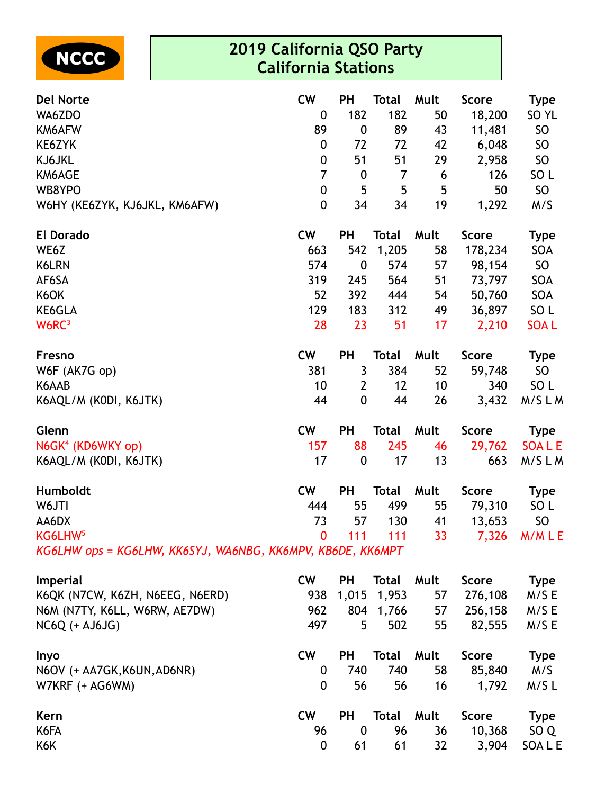

| <b>Del Norte</b>                                           | <b>CW</b>        | PH               | <b>Total</b> | Mult | Score        | <b>Type</b>      |
|------------------------------------------------------------|------------------|------------------|--------------|------|--------------|------------------|
| WA6ZDO                                                     | 0                | 182              | 182          | 50   | 18,200       | SO <sub>YL</sub> |
| KM6AFW                                                     | 89               | $\boldsymbol{0}$ | 89           | 43   | 11,481       | <b>SO</b>        |
| KE6ZYK                                                     | 0                | 72               | 72           | 42   | 6,048        | <b>SO</b>        |
| KJ6JKL                                                     | $\boldsymbol{0}$ | 51               | 51           | 29   | 2,958        | SO               |
| KM6AGE                                                     | 7                | $\boldsymbol{0}$ | 7            | 6    | 126          | SO <sub>L</sub>  |
| WB8YPO                                                     | 0                | 5                | 5            | 5    | 50           | <b>SO</b>        |
| W6HY (KE6ZYK, KJ6JKL, KM6AFW)                              | $\mathbf 0$      | 34               | 34           | 19   | 1,292        | M/S              |
| <b>El Dorado</b>                                           | <b>CW</b>        | PH               | <b>Total</b> | Mult | <b>Score</b> | Type             |
| WE6Z                                                       | 663              | 542              | 1,205        | 58   | 178,234      | <b>SOA</b>       |
| K6LRN                                                      | 574              | $\boldsymbol{0}$ | 574          | 57   | 98,154       | SO               |
| AF6SA                                                      | 319              | 245              | 564          | 51   | 73,797       | <b>SOA</b>       |
| K6OK                                                       | 52               | 392              | 444          | 54   | 50,760       | SOA              |
| KE6GLA                                                     | 129              | 183              | 312          | 49   | 36,897       | SO <sub>L</sub>  |
| W6RC <sup>3</sup>                                          | 28               | 23               | 51           | 17   | 2,210        | <b>SOAL</b>      |
| Fresno                                                     | <b>CW</b>        | <b>PH</b>        | <b>Total</b> | Mult | <b>Score</b> | <b>Type</b>      |
| W6F (AK7G op)                                              | 381              | 3                | 384          | 52   | 59,748       | SO <sub>1</sub>  |
| K6AAB                                                      | 10               | $\overline{2}$   | 12           | 10   | 340          | SO <sub>L</sub>  |
| K6AQL/M (KODI, K6JTK)                                      | 44               | $\mathbf 0$      | 44           | 26   | 3,432        | M/SLM            |
| Glenn                                                      | <b>CW</b>        | <b>PH</b>        | <b>Total</b> | Mult | <b>Score</b> | Type             |
| N6GK <sup>4</sup> (KD6WKY op)                              | 157              | 88               | 245          | 46   | 29,762       | <b>SOALE</b>     |
| K6AQL/M (KODI, K6JTK)                                      | 17               | $\boldsymbol{0}$ | 17           | 13   | 663          | M/SLM            |
| Humboldt                                                   | <b>CW</b>        | <b>PH</b>        | <b>Total</b> | Mult | <b>Score</b> | <b>Type</b>      |
| W6JTI                                                      | 444              | 55               | 499          | 55   | 79,310       | SO <sub>L</sub>  |
| AA6DX                                                      | 73               | 57               | 130          | 41   | 13,653       | <b>SO</b>        |
| KG6LHW <sup>5</sup>                                        | $\Omega$         | 111              | 111          | 33   |              | 7,326 M/MLE      |
| KG6LHW ops = KG6LHW, KK6SYJ, WA6NBG, KK6MPV, KB6DE, KK6MPT |                  |                  |              |      |              |                  |
| Imperial                                                   | <b>CW</b>        | <b>PH</b>        | <b>Total</b> | Mult | <b>Score</b> | <b>Type</b>      |
| K6QK (N7CW, K6ZH, N6EEG, N6ERD)                            | 938              | 1,015            | 1,953        | 57   | 276,108      | M/SE             |
| N6M (N7TY, K6LL, W6RW, AE7DW)                              | 962              | 804              | 1,766        | 57   | 256,158      | M/S E            |
| <b>NC6Q (+ AJ6JG)</b>                                      | 497              | 5                | 502          | 55   | 82,555       | M/S E            |
| Inyo                                                       | <b>CW</b>        | PH               | Total        | Mult | <b>Score</b> | <b>Type</b>      |
| N6OV (+ AA7GK, K6UN, AD6NR)                                | $\mathbf 0$      | 740              | 740          | 58   | 85,840       | M/S              |
| W7KRF (+ AG6WM)                                            | $\mathbf 0$      | 56               | 56           | 16   | 1,792        | $M/S$ L          |
| Kern                                                       | <b>CW</b>        | <b>PH</b>        | Total        | Mult | <b>Score</b> | <b>Type</b>      |
| K6FA                                                       |                  |                  |              |      |              |                  |
|                                                            | 96               | $\boldsymbol{0}$ | 96           | 36   | 10,368       | SO <sub>Q</sub>  |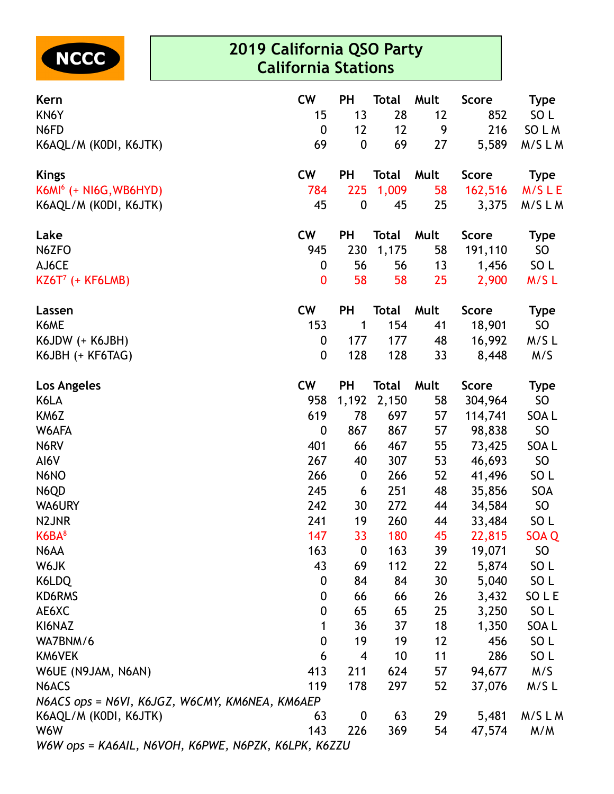

| Kern                                                | <b>CW</b>        | <b>PH</b>        | <b>Total</b> | Mult | <b>Score</b> | <b>Type</b>      |
|-----------------------------------------------------|------------------|------------------|--------------|------|--------------|------------------|
| KN6Y                                                | 15               | 13               | 28           | 12   | 852          | SO <sub>L</sub>  |
| N6FD                                                | $\boldsymbol{0}$ | 12               | 12           | 9    | 216          | SO L M           |
| K6AQL/M (KODI, K6JTK)                               | 69               | $\boldsymbol{0}$ | 69           | 27   | 5,589        | M/SLM            |
| <b>Kings</b>                                        | <b>CW</b>        | <b>PH</b>        | <b>Total</b> | Mult | <b>Score</b> | <b>Type</b>      |
| $K6M6$ (+ NI6G, WB6HYD)                             | 784              | 225              | 1,009        | 58   | 162,516      | M/SLE            |
| K6AQL/M (KODI, K6JTK)                               | 45               | $\boldsymbol{0}$ | 45           | 25   | 3,375        | M/SLM            |
| Lake                                                | <b>CW</b>        | PH               | <b>Total</b> | Mult | <b>Score</b> | <b>Type</b>      |
| N6ZFO                                               | 945              | 230              | 1,175        | 58   | 191,110      | <b>SO</b>        |
| AJ6CE                                               | $\boldsymbol{0}$ | 56               | 56           | 13   | 1,456        | SO <sub>L</sub>  |
| $KZ6T^7$ (+ KF6LMB)                                 | $\bf{0}$         | 58               | 58           | 25   | 2,900        | M/SL             |
| Lassen                                              | <b>CW</b>        | PH               | <b>Total</b> | Mult | <b>Score</b> | <b>Type</b>      |
| K6ME                                                | 153              | 1                | 154          | 41   | 18,901       | <b>SO</b>        |
| K6JDW (+ K6JBH)                                     | $\boldsymbol{0}$ | 177              | 177          | 48   | 16,992       | M/SL             |
| K6JBH (+ KF6TAG)                                    | $\boldsymbol{0}$ | 128              | 128          | 33   | 8,448        | M/S              |
| Los Angeles                                         | <b>CW</b>        | <b>PH</b>        | <b>Total</b> | Mult | <b>Score</b> | <b>Type</b>      |
| K6LA                                                | 958              | 1,192            | 2,150        | 58   | 304,964      | <b>SO</b>        |
| KM6Z                                                | 619              | 78               | 697          | 57   | 114,741      | SOA L            |
| W6AFA                                               | $\mathbf 0$      | 867              | 867          | 57   | 98,838       | <b>SO</b>        |
| N6RV                                                | 401              | 66               | 467          | 55   | 73,425       | SOA L            |
| AI6V                                                | 267              | 40               | 307          | 53   | 46,693       | SO               |
| N6NO                                                | 266              | $\boldsymbol{0}$ | 266          | 52   | 41,496       | SO <sub>L</sub>  |
| N6QD                                                | 245              | 6                | 251          | 48   | 35,856       | <b>SOA</b>       |
| WA6URY                                              | 242              | 30               | 272          | 44   | 34,584       | SO               |
| N2JNR                                               | 241              | 19               | 260          | 44   | 33,484       | SO <sub>L</sub>  |
| K6BA <sup>8</sup>                                   | 147              | 33               | 180          | 45   | 22,815       | SOA <sub>Q</sub> |
| N6AA                                                | 163              | $\boldsymbol{0}$ | 163          | 39   | 19,071       | <b>SO</b>        |
| W6JK                                                | 43               | 69               | 112          | 22   | 5,874        | SO <sub>L</sub>  |
| K6LDQ                                               | $\boldsymbol{0}$ | 84               | 84           | 30   | 5,040        | SO <sub>L</sub>  |
| KD6RMS                                              | 0                | 66               | 66           | 26   | 3,432        | SO L E           |
| AE6XC                                               | 0                | 65               | 65           | 25   | 3,250        | SO <sub>L</sub>  |
| KI6NAZ                                              | 1                | 36               | 37           | 18   | 1,350        | SOA L            |
| WA7BNM/6                                            | $\boldsymbol{0}$ | 19               | 19           | 12   | 456          | SO <sub>L</sub>  |
| KM6VEK                                              | 6                | $\overline{4}$   | 10           | 11   | 286          | SO L             |
| W6UE (N9JAM, N6AN)                                  | 413              | 211              | 624          | 57   | 94,677       | M/S              |
| N6ACS                                               | 119              | 178              | 297          | 52   | 37,076       | M/SL             |
| N6ACS ops = N6VI, K6JGZ, W6CMY, KM6NEA, KM6AEP      |                  |                  |              |      |              |                  |
| K6AQL/M (KODI, K6JTK)                               | 63               | $\boldsymbol{0}$ | 63           | 29   | 5,481        | M/SLM            |
| W6W                                                 | 143              | 226              | 369          | 54   | 47,574       | M/M              |
| W6W ops = KA6AIL, N6VOH, K6PWE, N6PZK, K6LPK, K6ZZU |                  |                  |              |      |              |                  |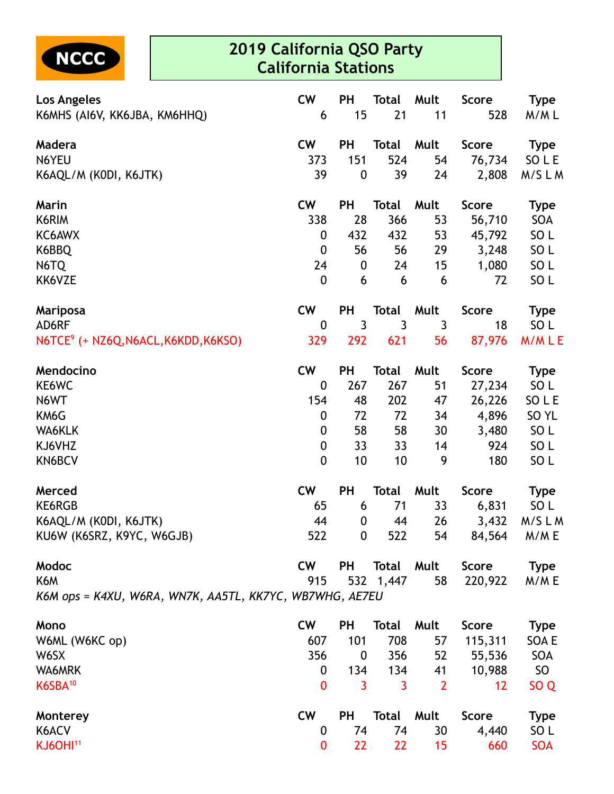

| Los Angeles<br>K6MHS (AI6V, KK6JBA, KM6HHQ)             | <b>CW</b><br>6   | PH<br>15         | <b>Total</b><br>21 | Mult<br>11     | <b>Score</b><br>528 | <b>Type</b><br>M/ML |
|---------------------------------------------------------|------------------|------------------|--------------------|----------------|---------------------|---------------------|
|                                                         |                  |                  |                    |                |                     |                     |
| Madera                                                  | <b>CW</b>        | PH               | <b>Total</b>       | Mult           | <b>Score</b>        | <b>Type</b>         |
| N6YEU                                                   | 373              | 151              | 524                | 54             | 76,734              | SO L E              |
| K6AQL/M (KODI, K6JTK)                                   | 39               | $\boldsymbol{0}$ | 39                 | 24             | 2,808               | M/SLM               |
| Marin                                                   | <b>CW</b>        | <b>PH</b>        | <b>Total</b>       | Mult           | <b>Score</b>        | <b>Type</b>         |
| K6RIM                                                   | 338              | 28               | 366                | 53             | 56,710              | SOA                 |
| KC6AWX                                                  | 0                | 432              | 432                | 53             | 45,792              | SO <sub>L</sub>     |
| K6BBQ                                                   | 0                | 56               | 56                 | 29             | 3,248               | SO <sub>L</sub>     |
| N6TQ                                                    | 24               | $\boldsymbol{0}$ | 24                 | 15             | 1,080               | SO <sub>L</sub>     |
| KK6VZE                                                  | $\boldsymbol{0}$ | 6                | 6                  | 6              | 72                  | SO <sub>L</sub>     |
| Mariposa                                                | <b>CW</b>        | <b>PH</b>        | <b>Total</b>       | Mult           | <b>Score</b>        | <b>Type</b>         |
| AD6RF                                                   | $\boldsymbol{0}$ | 3                | 3                  | 3              | 18                  | SO <sub>L</sub>     |
| N6TCE <sup>9</sup> (+ NZ6Q, N6ACL, K6KDD, K6KSO)        | 329              | 292              | 621                | 56             | 87,976              | M/MLE               |
| Mendocino                                               | <b>CW</b>        | PH               | <b>Total</b>       | Mult           | <b>Score</b>        | <b>Type</b>         |
| KE6WC                                                   | $\boldsymbol{0}$ | 267              | 267                | 51             | 27,234              | SO L                |
| N6WT                                                    | 154              | 48               | 202                | 47             | 26,226              | SO L E              |
| KM6G                                                    | $\boldsymbol{0}$ | 72               | 72                 | 34             | 4,896               | SO <sub>YL</sub>    |
| WA6KLK                                                  | 0                | 58               | 58                 | 30             | 3,480               | SO <sub>L</sub>     |
| KJ6VHZ                                                  | $\boldsymbol{0}$ | 33               | 33                 | 14             | 924                 | SO <sub>L</sub>     |
| KN6BCV                                                  | $\mathbf 0$      | 10               | 10                 | 9              | 180                 | SO <sub>L</sub>     |
| Merced                                                  | <b>CW</b>        | <b>PH</b>        | <b>Total</b>       | Mult           | <b>Score</b>        | <b>Type</b>         |
| KE6RGB                                                  | 65               | 6                | 71                 | 33             | 6,831               | SO L                |
| K6AQL/M (KODI, K6JTK)                                   | 44               | 0                | 44                 | 26             | 3,432               | M/SLM               |
| KU6W (K6SRZ, K9YC, W6GJB)                               | 522              | $\bf{0}$         | 522                | 54             | 84,564              | M/M E               |
| Modoc                                                   | <b>CW</b>        | <b>PH</b>        | <b>Total</b>       | Mult           | <b>Score</b>        | <b>Type</b>         |
| K6M                                                     | 915              | 532              | 1,447              | 58             | 220,922             | M/ME                |
| K6M ops = K4XU, W6RA, WN7K, AA5TL, KK7YC, WB7WHG, AE7EU |                  |                  |                    |                |                     |                     |
| Mono                                                    | <b>CW</b>        | <b>PH</b>        | <b>Total</b>       | Mult           | <b>Score</b>        | <b>Type</b>         |
| W6ML (W6KC op)                                          | 607              | 101              | 708                | 57             | 115,311             | SOA E               |
| W6SX                                                    | 356              | $\mathbf 0$      | 356                | 52             | 55,536              | SOA                 |
| WA6MRK                                                  | $\mathbf 0$      | 134              | 134                | 41             | 10,988              | SO <sub>1</sub>     |
| K6SBA <sup>10</sup>                                     | 0                | 3                | 3                  | $\overline{2}$ | 12                  | SO <sub>Q</sub>     |
| Monterey                                                | <b>CW</b>        | <b>PH</b>        | <b>Total</b>       | Mult           | <b>Score</b>        | <b>Type</b>         |
| K6ACV                                                   | $\boldsymbol{0}$ | 74               | 74                 | 30             | 4,440               | SO <sub>L</sub>     |
| <b>KJ6OHI11</b>                                         | 0                | 22               | 22                 | 15             | 660                 | <b>SOA</b>          |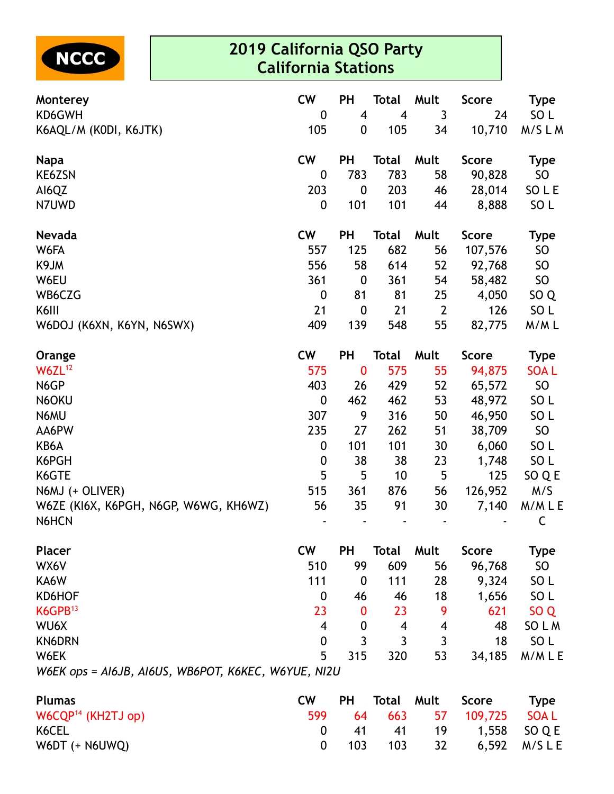

| Monterey                                            | <b>CW</b>          | <b>PH</b>                          | <b>Total</b>                   | Mult           | <b>Score</b> | <b>Type</b>              |
|-----------------------------------------------------|--------------------|------------------------------------|--------------------------------|----------------|--------------|--------------------------|
| KD6GWH<br>K6AQL/M (KODI, K6JTK)                     | $\mathbf 0$<br>105 | $\overline{4}$<br>$\boldsymbol{0}$ | $\overline{\mathbf{4}}$<br>105 | 3<br>34        | 24<br>10,710 | SO <sub>L</sub><br>M/SLM |
| <b>Napa</b>                                         | <b>CW</b>          | <b>PH</b>                          | <b>Total</b>                   | Mult           | <b>Score</b> | <b>Type</b>              |
| KE6ZSN                                              | $\boldsymbol{0}$   | 783                                | 783                            | 58             | 90,828       | <b>SO</b>                |
| AI6QZ                                               | 203                | $\boldsymbol{0}$                   | 203                            | 46             | 28,014       | SO L E                   |
| N7UWD                                               | 0                  | 101                                | 101                            | 44             | 8,888        | SO <sub>L</sub>          |
| <b>Nevada</b>                                       | <b>CW</b>          | <b>PH</b>                          | <b>Total</b>                   | Mult           | <b>Score</b> | <b>Type</b>              |
| W6FA                                                | 557                | 125                                | 682                            | 56             | 107,576      | <b>SO</b>                |
| K9JM                                                | 556                | 58                                 | 614                            | 52             | 92,768       | <b>SO</b>                |
| W6EU                                                | 361                | $\boldsymbol{0}$                   | 361                            | 54             | 58,482       | <b>SO</b>                |
| WB6CZG                                              | $\boldsymbol{0}$   | 81                                 | 81                             | 25             | 4,050        | SO <sub>Q</sub>          |
| K6III                                               | 21                 | $\boldsymbol{0}$                   | 21                             | $\overline{2}$ | 126          | SO <sub>L</sub>          |
| W6DOJ (K6XN, K6YN, N6SWX)                           | 409                | 139                                | 548                            | 55             | 82,775       | M/ML                     |
| Orange                                              | <b>CW</b>          | <b>PH</b>                          | <b>Total</b>                   | Mult           | <b>Score</b> | <b>Type</b>              |
| W6ZL <sup>12</sup>                                  | 575                | $\bf{0}$                           | 575                            | 55             | 94,875       | <b>SOAL</b>              |
| N6GP                                                | 403                | 26                                 | 429                            | 52             | 65,572       | <b>SO</b>                |
| N6OKU                                               | $\mathbf 0$        | 462                                | 462                            | 53             | 48,972       | SO <sub>L</sub>          |
| N6MU                                                | 307                | 9                                  | 316                            | 50             | 46,950       | SO <sub>L</sub>          |
| AA6PW                                               | 235                | 27                                 | 262                            | 51             | 38,709       | <b>SO</b>                |
| KB6A                                                | $\boldsymbol{0}$   | 101                                | 101                            | 30             | 6,060        | SO <sub>L</sub>          |
| K6PGH                                               | $\boldsymbol{0}$   | 38                                 | 38                             | 23             | 1,748        | SO <sub>L</sub>          |
| K6GTE                                               | 5                  | 5                                  | 10                             | 5              | 125          | SO Q E                   |
| $N6MJ (+ OLIVER)$                                   | 515                | 361                                | 876                            | 56             | 126,952      | M/S                      |
| W6ZE (KI6X, K6PGH, N6GP, W6WG, KH6WZ)               | 56                 | 35                                 | 91                             | 30             | 7,140        | M/MLE                    |
| N6HCN                                               |                    |                                    |                                |                |              | C                        |
| <b>Placer</b>                                       | <b>CW</b>          | <b>PH</b>                          | <b>Total</b>                   | Mult           | <b>Score</b> | <b>Type</b>              |
| WX6V                                                | 510                | 99                                 | 609                            | 56             | 96,768       | <b>SO</b>                |
| KA6W                                                | 111                | $\boldsymbol{0}$                   | 111                            | 28             | 9,324        | SO <sub>L</sub>          |
| KD6HOF                                              | 0                  | 46                                 | 46                             | 18             | 1,656        | SO <sub>L</sub>          |
| K6GPB <sup>13</sup>                                 | 23                 | $\bf{0}$                           | 23                             | 9              | 621          | SO <sub>Q</sub>          |
| WU6X                                                | 4                  | $\boldsymbol{0}$                   | 4                              | 4              | 48           | SO L M                   |
| <b>KN6DRN</b>                                       | $\boldsymbol{0}$   | 3                                  | 3                              | 3              | 18           | SO <sub>L</sub>          |
| W6EK                                                | 5                  | 315                                | 320                            | 53             | 34,185       | M/MLE                    |
| W6EK ops = AI6JB, AI6US, WB6POT, K6KEC, W6YUE, NI2U |                    |                                    |                                |                |              |                          |

| <b>Plumas</b>        | CW. | <b>PH</b> | Total Mult Score |                            | <b>Type</b> |
|----------------------|-----|-----------|------------------|----------------------------|-------------|
| $W6CQP14$ (KH2TJ op) |     |           |                  | 599 64 663 57 109,725 SOAL |             |
| K6CEL                |     |           |                  | 0 41 41 19 1,558 SOQE      |             |
| W6DT (+ N6UWQ)       |     |           |                  | 0 103 103 32 6,592 M/SLE   |             |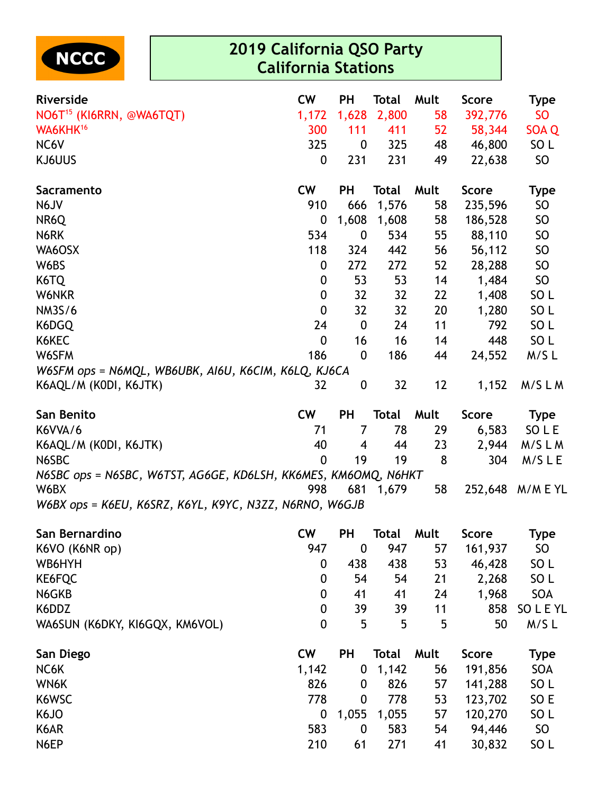

| Riverside                                                      | <b>CW</b>        | <b>PH</b>        | <b>Total</b> | Mult | Score        | Type            |
|----------------------------------------------------------------|------------------|------------------|--------------|------|--------------|-----------------|
| NO6T <sup>15</sup> (KI6RRN, @WA6TQT)                           | 1,172            | 1,628            | 2,800        | 58   | 392,776      | <b>SO</b>       |
| WA6KHK <sup>16</sup>                                           | 300              | 111              | 411          | 52   | 58,344       | SOA Q           |
| NC6V                                                           | 325              | 0                | 325          | 48   | 46,800       | SO <sub>L</sub> |
| KJ6UUS                                                         | 0                | 231              | 231          | 49   | 22,638       | SO              |
| <b>Sacramento</b>                                              | <b>CW</b>        | <b>PH</b>        | Total        | Mult | <b>Score</b> | <b>Type</b>     |
| N6JV                                                           | 910              | 666              | 1,576        | 58   | 235,596      | SO              |
| NR6Q                                                           | 0                | 1,608            | 1,608        | 58   | 186,528      | <b>SO</b>       |
| N6RK                                                           | 534              | 0                | 534          | 55   | 88,110       | SO              |
| WA6OSX                                                         | 118              | 324              | 442          | 56   | 56,112       | <b>SO</b>       |
| W6BS                                                           | 0                | 272              | 272          | 52   | 28,288       | <b>SO</b>       |
| K6TQ                                                           | 0                | 53               | 53           | 14   | 1,484        | <b>SO</b>       |
| W6NKR                                                          | $\boldsymbol{0}$ | 32               | 32           | 22   | 1,408        | SO <sub>L</sub> |
| <b>NM3S/6</b>                                                  | $\mathbf 0$      | 32               | 32           | 20   | 1,280        | SO <sub>L</sub> |
| K6DGQ                                                          | 24               | $\boldsymbol{0}$ | 24           | 11   | 792          | SO <sub>L</sub> |
| K6KEC                                                          | $\mathbf 0$      | 16               | 16           | 14   | 448          | SO <sub>L</sub> |
| W6SFM                                                          | 186              | $\boldsymbol{0}$ | 186          | 44   | 24,552       | M/SL            |
| W6SFM ops = N6MQL, WB6UBK, AI6U, K6CIM, K6LQ, KJ6CA            |                  |                  |              |      |              |                 |
| K6AQL/M (KODI, K6JTK)                                          | 32               | $\boldsymbol{0}$ | 32           | 12   | 1,152        | M/SLM           |
| San Benito                                                     | <b>CW</b>        | <b>PH</b>        | <b>Total</b> | Mult | <b>Score</b> | <b>Type</b>     |
| K6VVA/6                                                        | 71               | $\overline{7}$   | 78           | 29   | 6,583        | SO L E          |
| K6AQL/M (KODI, K6JTK)                                          | 40               | 4                | 44           | 23   | 2,944        | M/SLM           |
| N6SBC                                                          | $\mathbf 0$      | 19               | 19           | 8    | 304          | M/SLE           |
| N6SBC ops = N6SBC, W6TST, AG6GE, KD6LSH, KK6MES, KM6OMQ, N6HKT |                  |                  |              |      |              |                 |
| W6BX                                                           | 998              | 681              | 1,679        | 58   | 252,648      | M/M E YL        |
| W6BX ops = K6EU, K6SRZ, K6YL, K9YC, N3ZZ, N6RNO, W6GJB         |                  |                  |              |      |              |                 |
| San Bernardino                                                 | <b>CW</b>        | <b>PH</b>        | Total        | Mult | <b>Score</b> | <b>Type</b>     |
| K6VO (K6NR op)                                                 | 947              | $\boldsymbol{0}$ | 947          | 57   | 161,937      | <b>SO</b>       |
| WB6HYH                                                         | $\boldsymbol{0}$ | 438              | 438          | 53   | 46,428       | SO <sub>L</sub> |
| KE6FQC                                                         | $\boldsymbol{0}$ | 54               | 54           | 21   | 2,268        | SO <sub>L</sub> |
| N6GKB                                                          | 0                | 41               | 41           | 24   | 1,968        | SOA             |
| K6DDZ                                                          | $\boldsymbol{0}$ | 39               | 39           | 11   | 858          | SO L E YL       |
| WA6SUN (K6DKY, KI6GQX, KM6VOL)                                 | 0                | 5                | 5            | 5    | 50           | $M/S$ L         |
| San Diego                                                      | <b>CW</b>        | <b>PH</b>        | <b>Total</b> | Mult | <b>Score</b> | <b>Type</b>     |
| NC6K                                                           | 1,142            | 0                | 1,142        | 56   | 191,856      | SOA             |
| WN6K                                                           | 826              | 0                | 826          | 57   | 141,288      | SO <sub>L</sub> |
| K6WSC                                                          | 778              | $\boldsymbol{0}$ | 778          | 53   | 123,702      | SO E            |
| K6JO                                                           | $\boldsymbol{0}$ | 1,055            | 1,055        | 57   | 120,270      | SO <sub>L</sub> |
| K6AR                                                           | 583              | $\boldsymbol{0}$ | 583          | 54   | 94,446       | SO              |
| N6EP                                                           | 210              | 61               | 271          | 41   | 30,832       | SO <sub>L</sub> |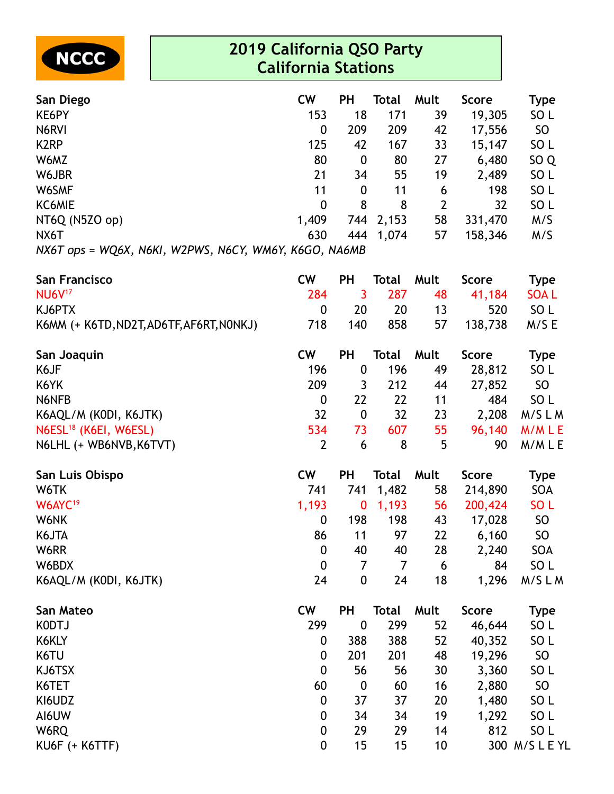

| San Diego                   | <b>CW</b>                   | РH  | Total     | Mult           | <b>Score</b> | Type            |
|-----------------------------|-----------------------------|-----|-----------|----------------|--------------|-----------------|
| KE6PY                       | 153                         | 18  | 171       | 39             | 19,305       | SO <sub>L</sub> |
| N6RVI                       | 0                           | 209 | 209       | 42             | 17,556       | <b>SO</b>       |
| K <sub>2</sub> RP           | 125                         | 42  | 167       | 33             | 15,147       | SO <sub>L</sub> |
| W6MZ                        | 80                          | 0   | 80        | 27             | 6,480        | SO <sub>Q</sub> |
| W6JBR                       | 21                          | 34  | 55        | 19             | 2,489        | SO <sub>L</sub> |
| W6SMF                       | 11                          | 0   | 11        | 6              | 198          | SO <sub>L</sub> |
| KC6MIE                      | 0                           | 8   | 8         | $\overline{2}$ | 32           | SO <sub>L</sub> |
| NT6Q (N5ZO op)              | 1,409                       |     | 744 2,153 | 58             | 331,470      | M/S             |
| NX6T                        | 630                         | 444 | 1,074     | 57             | 158,346      | M/S             |
| $NYAT$ one - $M/OKY$ $NKKI$ | WODWS NECY WALLY KEGO NAKAR |     |           |                |              |                 |

*NX6T ops = WQ6X, N6KI, W2PWS, N6CY, WM6Y, K6GO, NA6MB*

| <b>San Francisco</b>                     | <b>CW</b>        | PH               | <b>Total</b>   | Mult | <b>Score</b> | <b>Type</b>     |
|------------------------------------------|------------------|------------------|----------------|------|--------------|-----------------|
| <b>NU6V<sup>17</sup></b>                 | 284              | 3                | 287            | 48   | 41,184       | <b>SOAL</b>     |
| KJ6PTX                                   | $\boldsymbol{0}$ | 20               | 20             | 13   | 520          | SO <sub>L</sub> |
| K6MM (+ K6TD, ND2T, AD6TF, AF6RT, NONKJ) | 718              | 140              | 858            | 57   | 138,738      | M/SE            |
| San Joaquin                              | <b>CW</b>        | PH               | <b>Total</b>   | Mult | <b>Score</b> | <b>Type</b>     |
| K6JF                                     | 196              | $\boldsymbol{0}$ | 196            | 49   | 28,812       | SO <sub>L</sub> |
| K6YK                                     | 209              | 3                | 212            | 44   | 27,852       | SO              |
| N6NFB                                    | $\boldsymbol{0}$ | 22               | 22             | 11   | 484          | SO <sub>L</sub> |
| K6AQL/M (KODI, K6JTK)                    | 32               | $\mathbf 0$      | 32             | 23   | 2,208        | M/SLM           |
| N6ESL <sup>18</sup> (K6EI, W6ESL)        | 534              | 73               | 607            | 55   | 96,140       | M/MLE           |
| N6LHL (+ WB6NVB, K6TVT)                  | $\overline{2}$   | 6                | 8              | 5    | 90           | M/MLE           |
| San Luis Obispo                          | <b>CW</b>        | <b>PH</b>        | <b>Total</b>   | Mult | <b>Score</b> | <b>Type</b>     |
| W6TK                                     | 741              | 741              | 1,482          | 58   | 214,890      | SOA             |
| W6AYC <sup>19</sup>                      | 1,193            | $\bf{0}$         | 1,193          | 56   | 200,424      | SO <sub>L</sub> |
| W6NK                                     | $\mathbf 0$      | 198              | 198            | 43   | 17,028       | SO              |
| K6JTA                                    | 86               | 11               | 97             | 22   | 6,160        | SO              |
| W6RR                                     | $\boldsymbol{0}$ | 40               | 40             | 28   | 2,240        | SOA             |
| W6BDX                                    | $\mathbf 0$      | $\overline{7}$   | $\overline{7}$ | 6    | 84           | SO <sub>L</sub> |
| K6AQL/M (KODI, K6JTK)                    | 24               | $\boldsymbol{0}$ | 24             | 18   | 1,296        | M/SLM           |
| San Mateo                                | <b>CW</b>        | PH               | <b>Total</b>   | Mult | <b>Score</b> | <b>Type</b>     |
| K0DTJ                                    | 299              | $\boldsymbol{0}$ | 299            | 52   | 46,644       | SO <sub>L</sub> |
| K6KLY                                    | $\boldsymbol{0}$ | 388              | 388            | 52   | 40,352       | SO <sub>L</sub> |
| K6TU                                     | $\mathbf 0$      | 201              | 201            | 48   | 19,296       | SO              |
| KJ6TSX                                   | $\mathbf 0$      | 56               | 56             | 30   | 3,360        | SO <sub>L</sub> |
| K6TET                                    | 60               | $\boldsymbol{0}$ | 60             | 16   | 2,880        | SO              |
| KI6UDZ                                   | $\boldsymbol{0}$ | 37               | 37             | 20   | 1,480        | SO <sub>L</sub> |
| AI6UW                                    | $\boldsymbol{0}$ | 34               | 34             | 19   | 1,292        | SO <sub>L</sub> |
| W6RQ                                     | $\boldsymbol{0}$ | 29               | 29             | 14   | 812          | SO <sub>L</sub> |
| KU6F $(+$ K6TTF)                         | $\mathbf 0$      | 15               | 15             | 10   |              | 300 M/S L E YL  |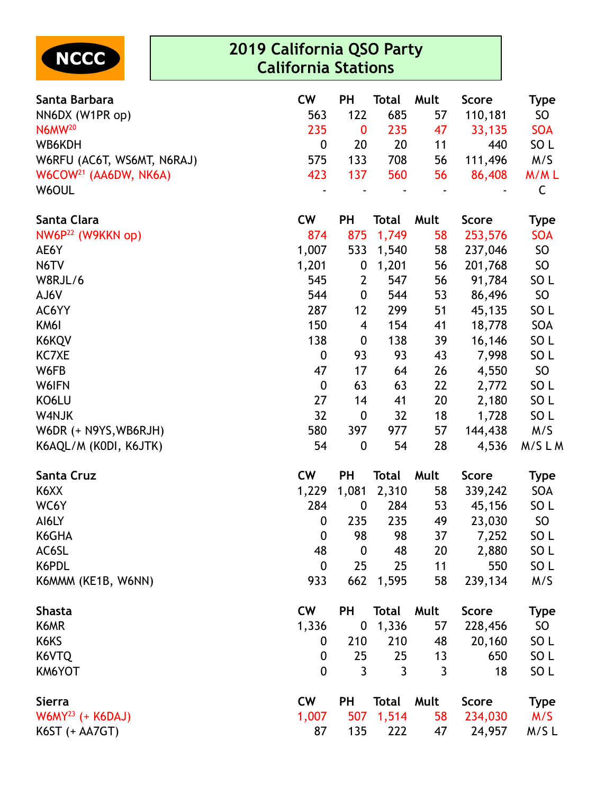

| Santa Barbara                     | <b>CW</b>        | <b>PH</b>        | <b>Total</b> | Mult           | <b>Score</b> | Type            |
|-----------------------------------|------------------|------------------|--------------|----------------|--------------|-----------------|
| NN6DX (W1PR op)                   | 563              | 122              | 685          | 57             | 110,181      | <b>SO</b>       |
| N6MW <sup>20</sup>                | 235              | $\bf{0}$         | 235          | 47             | 33,135       | <b>SOA</b>      |
| WB6KDH                            | $\boldsymbol{0}$ | 20               | 20           | 11             | 440          | SO <sub>L</sub> |
| W6RFU (AC6T, WS6MT, N6RAJ)        | 575              | 133              | 708          | 56             | 111,496      | M/S             |
| W6COW <sup>21</sup> (AA6DW, NK6A) | 423              | 137              | 560          | 56             | 86,408       | M/ML            |
| W6OUL                             |                  |                  |              |                |              | $\mathsf C$     |
| Santa Clara                       | <b>CW</b>        | <b>PH</b>        | <b>Total</b> | Mult           | <b>Score</b> | <b>Type</b>     |
| NW6P <sup>22</sup> (W9KKN op)     | 874              | 875              | 1,749        | 58             | 253,576      | <b>SOA</b>      |
| AE6Y                              | 1,007            | 533              | 1,540        | 58             | 237,046      | SO              |
| N6TV                              | 1,201            | $\boldsymbol{0}$ | 1,201        | 56             | 201,768      | SO              |
| W8RJL/6                           | 545              | $\overline{2}$   | 547          | 56             | 91,784       | SO <sub>L</sub> |
| AJ6V                              | 544              | 0                | 544          | 53             | 86,496       | <b>SO</b>       |
| AC6YY                             | 287              | 12               | 299          | 51             | 45,135       | SO <sub>L</sub> |
| KM6I                              | 150              | 4                | 154          | 41             | 18,778       | SOA             |
| K6KQV                             | 138              | $\boldsymbol{0}$ | 138          | 39             | 16,146       | SO <sub>L</sub> |
| KC7XE                             | $\boldsymbol{0}$ | 93               | 93           | 43             | 7,998        | SO <sub>L</sub> |
| W6FB                              | 47               | 17               | 64           | 26             | 4,550        | SO              |
| W6IFN                             | 0                | 63               | 63           | 22             | 2,772        | SO <sub>L</sub> |
| KO6LU                             | 27               | 14               | 41           | 20             | 2,180        | SO <sub>L</sub> |
| W4NJK                             | 32               | $\boldsymbol{0}$ | 32           | 18             | 1,728        | SO <sub>L</sub> |
| W6DR (+ N9YS, WB6RJH)             | 580              | 397              | 977          | 57             | 144,438      | M/S             |
| K6AQL/M (KODI, K6JTK)             | 54               | $\boldsymbol{0}$ | 54           | 28             | 4,536        | M/SLM           |
| Santa Cruz                        | <b>CW</b>        | PH               | <b>Total</b> | Mult           | <b>Score</b> | <b>Type</b>     |
| K6XX                              | 1,229            | 1,081            | 2,310        | 58             | 339,242      | SOA             |
| WC6Y                              | 284              | $\boldsymbol{0}$ | 284          | 53             | 45,156       | SO <sub>L</sub> |
| AI6LY                             | $\boldsymbol{0}$ | 235              | 235          | 49             | 23,030       | SO              |
| K6GHA                             | $\boldsymbol{0}$ | 98               | 98           | 37             | 7,252        | SO <sub>L</sub> |
| AC6SL                             | 48               | $\boldsymbol{0}$ | 48           | 20             | 2,880        | SO <sub>L</sub> |
| K6PDL                             | $\boldsymbol{0}$ | 25               | 25           | 11             | 550          | SO <sub>L</sub> |
| K6MMM (KE1B, W6NN)                | 933              | 662              | 1,595        | 58             | 239,134      | M/S             |
| <b>Shasta</b>                     | <b>CW</b>        | <b>PH</b>        | Total        | Mult           | <b>Score</b> | <b>Type</b>     |
| K6MR                              | 1,336            | $\boldsymbol{0}$ | 1,336        | 57             | 228,456      | SO <sub>1</sub> |
| K6KS                              | 0                | 210              | 210          | 48             | 20,160       | SO <sub>L</sub> |
| K6VTQ                             | 0                | 25               | 25           | 13             | 650          | SO <sub>L</sub> |
| KM6YOT                            | $\mathbf 0$      | $\overline{3}$   | $\mathbf{3}$ | $\overline{3}$ | 18           | SO <sub>L</sub> |
| <b>Sierra</b>                     | <b>CW</b>        | <b>PH</b>        | Total        | Mult           | <b>Score</b> | <b>Type</b>     |
| $W6MY^{23}$ (+ K6DAJ)             | 1,007            | 507              | 1,514        | 58             | 234,030      | M/S             |
| K6ST (+ AA7GT)                    | 87               | 135              | 222          | 47             | 24,957       | M/SL            |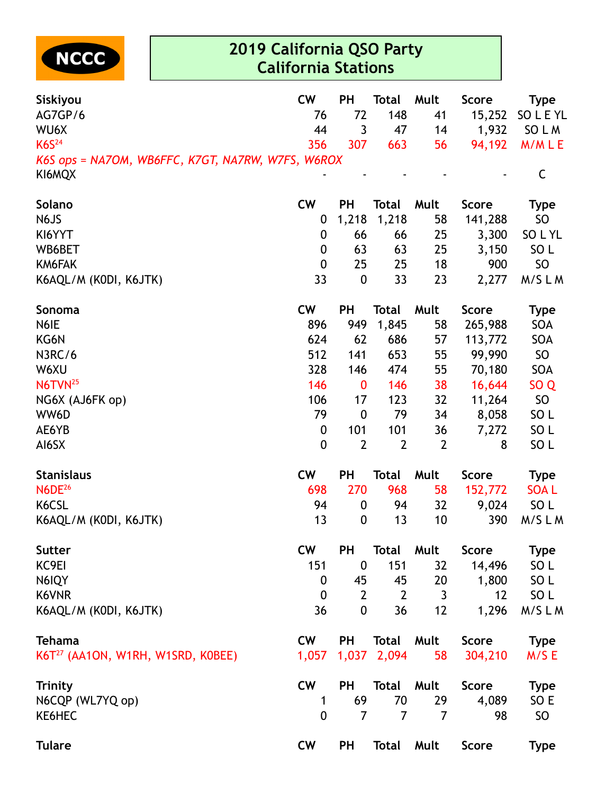

| Siskiyou                                          | <b>CW</b>        | <b>PH</b>        | <b>Total</b>   | Mult           | <b>Score</b> | <b>Type</b>     |
|---------------------------------------------------|------------------|------------------|----------------|----------------|--------------|-----------------|
| AG7GP/6                                           | 76               | 72               | 148            | 41             | 15,252       | SO L E YL       |
| WU6X                                              | 44               | 3                | 47             | 14             | 1,932        | SO L M          |
| <b>K6S</b> <sup>24</sup>                          | 356              | 307              | 663            | 56             | 94,192       | M/MLE           |
| K6S ops = NA7OM, WB6FFC, K7GT, NA7RW, W7FS, W6ROX |                  |                  |                |                |              |                 |
| KI6MQX                                            |                  |                  |                |                |              | $\mathsf C$     |
| Solano                                            | <b>CW</b>        | <b>PH</b>        | <b>Total</b>   | Mult           | <b>Score</b> | <b>Type</b>     |
| N6JS                                              | $\boldsymbol{0}$ | 1,218            | 1,218          | 58             | 141,288      | <b>SO</b>       |
| KI6YYT                                            | 0                | 66               | 66             | 25             | 3,300        | SO L YL         |
| WB6BET                                            | 0                | 63               | 63             | 25             | 3,150        | SO <sub>L</sub> |
| KM6FAK                                            | $\boldsymbol{0}$ | 25               | 25             | 18             | 900          | <b>SO</b>       |
| K6AQL/M (KODI, K6JTK)                             | 33               | $\boldsymbol{0}$ | 33             | 23             | 2,277        | M/SLM           |
| <b>Sonoma</b>                                     | <b>CW</b>        | <b>PH</b>        | <b>Total</b>   | Mult           | <b>Score</b> | <b>Type</b>     |
| N6IE                                              | 896              | 949              | 1,845          | 58             | 265,988      | SOA             |
| KG6N                                              | 624              | 62               | 686            | 57             | 113,772      | SOA             |
| N3RC/6                                            | 512              | 141              | 653            | 55             | 99,990       | SO              |
| W6XU                                              | 328              | 146              | 474            | 55             | 70,180       | SOA             |
| N6TVN <sup>25</sup>                               | 146              | $\boldsymbol{0}$ | 146            | 38             | 16,644       | SO <sub>Q</sub> |
| NG6X (AJ6FK op)                                   | 106              | 17               | 123            | 32             | 11,264       | SO              |
| WW6D                                              | 79               | $\boldsymbol{0}$ | 79             | 34             | 8,058        | SO <sub>L</sub> |
| AE6YB                                             | 0                | 101              | 101            | 36             | 7,272        | SO <sub>L</sub> |
| AI6SX                                             | $\boldsymbol{0}$ | $\overline{2}$   | $\mathbf{2}$   | $\overline{2}$ | 8            | SO <sub>L</sub> |
| <b>Stanislaus</b>                                 | <b>CW</b>        | <b>PH</b>        | <b>Total</b>   | Mult           | <b>Score</b> | <b>Type</b>     |
| <b>N6DE</b> <sup>26</sup>                         | 698              | 270              | 968            | 58             | 152,772      | <b>SOAL</b>     |
| K6CSL                                             | 94               | $\boldsymbol{0}$ | 94             | 32             | 9,024        | SO <sub>L</sub> |
| K6AQL/M (KODI, K6JTK)                             | 13               | $\boldsymbol{0}$ | 13             | 10             | 390          | M/SLM           |
| <b>Sutter</b>                                     | <b>CW</b>        | <b>PH</b>        | <b>Total</b>   | Mult           | <b>Score</b> | <b>Type</b>     |
| KC9EI                                             | 151              | $\boldsymbol{0}$ | 151            | 32             | 14,496       | SO <sub>L</sub> |
| N6IQY                                             | 0                | 45               | 45             | 20             | 1,800        | SO <sub>L</sub> |
| K6VNR                                             | $\boldsymbol{0}$ | $\overline{2}$   | $\overline{2}$ | $\mathbf{3}$   | 12           | SO <sub>L</sub> |
| K6AQL/M (KODI, K6JTK)                             | 36               | $\mathbf{0}$     | 36             | 12             | 1,296        | M/SLM           |
| <b>Tehama</b>                                     | <b>CW</b>        | <b>PH</b>        | <b>Total</b>   | Mult           | <b>Score</b> | <b>Type</b>     |
| K6T <sup>27</sup> (AA1ON, W1RH, W1SRD, K0BEE)     | 1,057            | 1,037            | 2,094          | 58             | 304,210      | M/SE            |
| <b>Trinity</b>                                    | <b>CW</b>        | <b>PH</b>        | <b>Total</b>   | Mult           | <b>Score</b> | <b>Type</b>     |
| N6CQP (WL7YQ op)                                  | 1                | 69               | 70             | 29             | 4,089        | SO E            |
| KE6HEC                                            | 0                | $\overline{7}$   | $\overline{7}$ | $\overline{7}$ | 98           | SO              |
| <b>Tulare</b>                                     | <b>CW</b>        | <b>PH</b>        | <b>Total</b>   | Mult           | <b>Score</b> | <b>Type</b>     |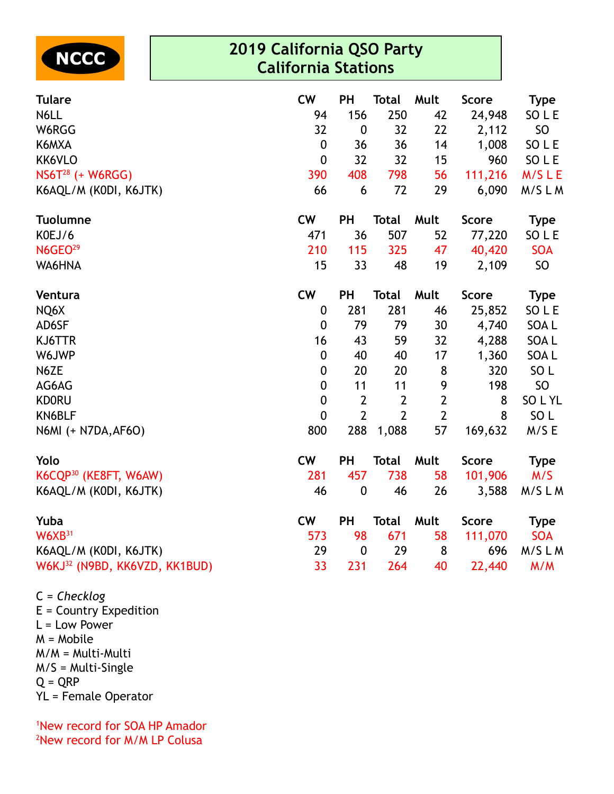

| <b>Tulare</b>                                           | <b>CW</b>        | <b>PH</b>        | <b>Total</b>   | Mult           | Score        | <b>Type</b>     |
|---------------------------------------------------------|------------------|------------------|----------------|----------------|--------------|-----------------|
| N6LL                                                    | 94               | 156              | 250            | 42             | 24,948       | SO L E          |
| W6RGG                                                   | 32               | $\boldsymbol{0}$ | 32             | 22             | 2,112        | <b>SO</b>       |
| K6MXA                                                   | $\mathbf 0$      | 36               | 36             | 14             | 1,008        | SO L E          |
| KK6VLO                                                  | $\boldsymbol{0}$ | 32               | 32             | 15             | 960          | SO L E          |
| NS6T <sup>28</sup> (+ W6RGG)                            | 390              | 408              | 798            | 56             | 111,216      | M/SLE           |
| K6AQL/M (KODI, K6JTK)                                   | 66               | 6                | 72             | 29             | 6,090        | M/SLM           |
| <b>Tuolumne</b>                                         | <b>CW</b>        | PH               | <b>Total</b>   | Mult           | <b>Score</b> | <b>Type</b>     |
| KOEJ/6                                                  | 471              | 36               | 507            | 52             | 77,220       | SO L E          |
| N6GEO <sup>29</sup>                                     | 210              | 115              | 325            | 47             | 40,420       | <b>SOA</b>      |
| WA6HNA                                                  | 15               | 33               | 48             | 19             | 2,109        | <b>SO</b>       |
| Ventura                                                 | <b>CW</b>        | PH               | <b>Total</b>   | Mult           | <b>Score</b> | <b>Type</b>     |
| NQ6X                                                    | 0                | 281              | 281            | 46             | 25,852       | SO L E          |
| AD6SF                                                   | $\mathbf{0}$     | 79               | 79             | 30             | 4,740        | SOA L           |
| KJ6TTR                                                  | 16               | 43               | 59             | 32             | 4,288        | SOA L           |
| W6JWP                                                   | $\boldsymbol{0}$ | 40               | 40             | 17             | 1,360        | SOA L           |
| N6ZE                                                    | $\boldsymbol{0}$ | 20               | 20             | 8              | 320          | SO <sub>L</sub> |
| AG6AG                                                   | $\boldsymbol{0}$ | 11               | 11             | 9              | 198          | SO              |
| <b>KDORU</b>                                            | $\boldsymbol{0}$ | $\overline{2}$   | $\overline{2}$ | $\mathbf{2}$   | 8            | SO L YL         |
| KN6BLF                                                  | $\mathbf{0}$     | $\overline{2}$   | $\overline{2}$ | $\overline{2}$ | 8            | SO <sub>L</sub> |
| N6MI (+ N7DA, AF6O)                                     | 800              | 288              | 1,088          | 57             | 169,632      | M/S E           |
| Yolo                                                    | <b>CW</b>        | PH               | <b>Total</b>   | Mult           | Score        | <b>Type</b>     |
| K6CQP <sup>30</sup> (KE8FT, W6AW)                       | 281              | 457              | 738            | 58             | 101,906      | M/S             |
| K6AQL/M (KODI, K6JTK)                                   | 46               | $\boldsymbol{0}$ | 46             | 26             | 3,588        | M/SLM           |
| Yuba                                                    | <b>CW</b>        | PH               | <b>Total</b>   | Mult           | <b>Score</b> | <b>Type</b>     |
| $W6XB^{31}$                                             | 573              | 98               | 671            | 58             | 111,070      | <b>SOA</b>      |
| K6AQL/M (KODI, K6JTK)                                   | 29               | $\boldsymbol{0}$ | 29             | 8              | 696          | M/SLM           |
| W6KJ <sup>32</sup> (N9BD, KK6VZD, KK1BUD)               | 33               | 231              | 264            | 40             | 22,440       | M/M             |
| $\sim$ $\sim$ $\sim$ $\sim$ $\sim$ $\sim$<br>$\sqrt{2}$ |                  |                  |                |                |              |                 |

C = *Checklog* E = Country Expedition  $L = Low Power$ M = Mobile M/M = Multi-Multi M/S = Multi-Single  $Q = QRP$ YL = Female Operator

<sup>1</sup>New record for SOA HP Amador <sup>2</sup>New record for M/M LP Colusa